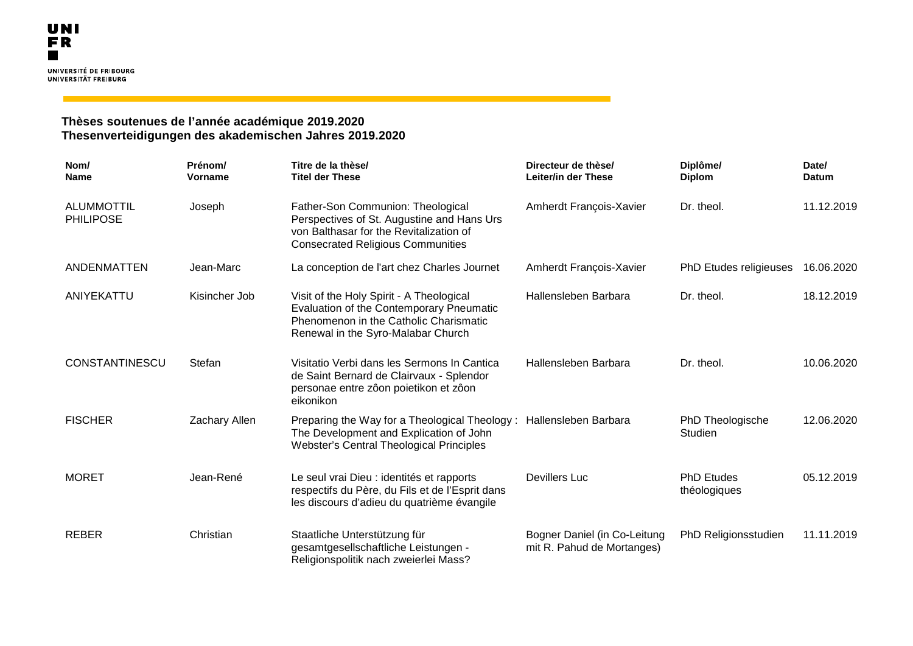## **Thèses soutenues de l'année académique 2019.2020 Thesenverteidigungen des akademischen Jahres 2019.2020**

| Nom/<br><b>Name</b>                   | Prénom/<br>Vorname | Titre de la thèse/<br><b>Titel der These</b>                                                                                                                                | Directeur de thèse/<br>Leiter/in der These                 | Diplôme/<br><b>Diplom</b>         | Date/<br><b>Datum</b> |
|---------------------------------------|--------------------|-----------------------------------------------------------------------------------------------------------------------------------------------------------------------------|------------------------------------------------------------|-----------------------------------|-----------------------|
| <b>ALUMMOTTIL</b><br><b>PHILIPOSE</b> | Joseph             | Father-Son Communion: Theological<br>Perspectives of St. Augustine and Hans Urs<br>von Balthasar for the Revitalization of<br><b>Consecrated Religious Communities</b>      | Amherdt François-Xavier                                    | Dr. theol.                        | 11.12.2019            |
| <b>ANDENMATTEN</b>                    | Jean-Marc          | La conception de l'art chez Charles Journet                                                                                                                                 | Amherdt François-Xavier                                    | <b>PhD Etudes religieuses</b>     | 16.06.2020            |
| ANIYEKATTU                            | Kisincher Job      | Visit of the Holy Spirit - A Theological<br><b>Evaluation of the Contemporary Pneumatic</b><br>Phenomenon in the Catholic Charismatic<br>Renewal in the Syro-Malabar Church | Hallensleben Barbara                                       | Dr. theol.                        | 18.12.2019            |
| <b>CONSTANTINESCU</b>                 | Stefan             | Visitatio Verbi dans les Sermons In Cantica<br>de Saint Bernard de Clairvaux - Splendor<br>personae entre zôon poietikon et zôon<br>eikonikon                               | Hallensleben Barbara                                       | Dr. theol.                        | 10.06.2020            |
| <b>FISCHER</b>                        | Zachary Allen      | Preparing the Way for a Theological Theology: Hallensleben Barbara<br>The Development and Explication of John<br>Webster's Central Theological Principles                   |                                                            | PhD Theologische<br>Studien       | 12.06.2020            |
| <b>MORET</b>                          | Jean-René          | Le seul vrai Dieu : identités et rapports<br>respectifs du Père, du Fils et de l'Esprit dans<br>les discours d'adieu du quatrième évangile                                  | <b>Devillers Luc</b>                                       | <b>PhD Etudes</b><br>théologiques | 05.12.2019            |
| <b>REBER</b>                          | Christian          | Staatliche Unterstützung für<br>gesamtgesellschaftliche Leistungen -<br>Religionspolitik nach zweierlei Mass?                                                               | Bogner Daniel (in Co-Leitung<br>mit R. Pahud de Mortanges) | PhD Religionsstudien              | 11.11.2019            |